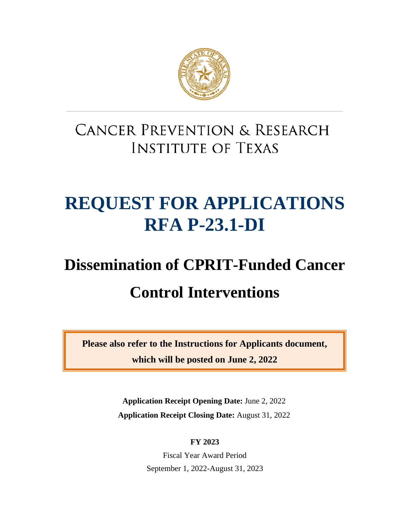

# **CANCER PREVENTION & RESEARCH INSTITUTE OF TEXAS**

# **REQUEST FOR APPLICATIONS RFA P-23.1-DI**

# **Dissemination of CPRIT-Funded Cancer Control Interventions**

**Please also refer to the Instructions for Applicants document, which will be posted on June 2, 2022**

> **Application Receipt Opening Date:** June 2, 2022 **Application Receipt Closing Date:** August 31, 2022

> > **FY 2023**

Fiscal Year Award Period September 1, 2022-August 31, 2023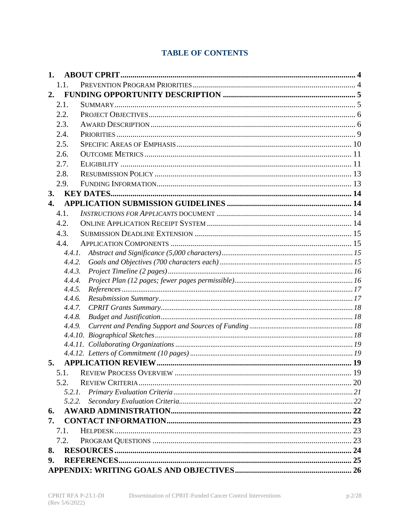# **TABLE OF CONTENTS**

| 1.               |                  |  |
|------------------|------------------|--|
|                  | 1.1.             |  |
| 2.               |                  |  |
|                  | 2.1.             |  |
|                  | 2.2.             |  |
|                  | 2.3.             |  |
|                  | 2.4.             |  |
|                  | 2.5.             |  |
|                  | 2.6.             |  |
|                  | 2.7.             |  |
|                  | 2.8.             |  |
|                  | 2.9.             |  |
| 3.               |                  |  |
| $\overline{4}$ . |                  |  |
|                  | 4.1.             |  |
|                  | 4.2.             |  |
|                  | 4.3.             |  |
|                  | 4.4.             |  |
|                  | 4.4.1.           |  |
|                  | 4.4.2.           |  |
|                  | 4.4.3.           |  |
|                  | 4.4.4.           |  |
|                  | 4.4.5.<br>4.4.6. |  |
|                  | 4.4.7.           |  |
|                  | 4.4.8.           |  |
|                  | 4.4.9.           |  |
|                  |                  |  |
|                  |                  |  |
|                  |                  |  |
| 5.               |                  |  |
|                  | 5.1.             |  |
|                  | 5.2.             |  |
|                  | 5.2.1.           |  |
|                  | 5.2.2.           |  |
| 6.               |                  |  |
| 7.               |                  |  |
|                  | 7.1.             |  |
|                  | 7.2.             |  |
| 8.               |                  |  |
| 9.               |                  |  |
|                  |                  |  |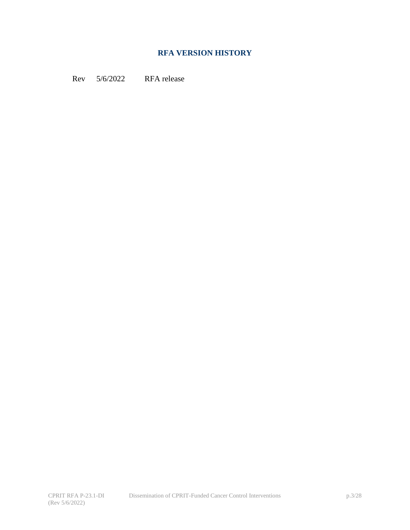# **RFA VERSION HISTORY**

Rev 5/6/2022 RFA release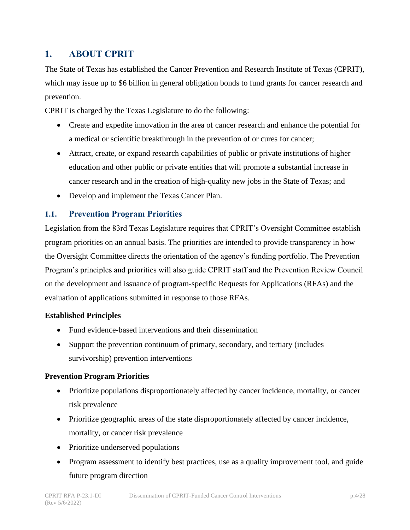# <span id="page-3-0"></span>**1. ABOUT CPRIT**

The State of Texas has established the Cancer Prevention and Research Institute of Texas (CPRIT), which may issue up to \$6 billion in general obligation bonds to fund grants for cancer research and prevention.

CPRIT is charged by the Texas Legislature to do the following:

- Create and expedite innovation in the area of cancer research and enhance the potential for a medical or scientific breakthrough in the prevention of or cures for cancer;
- Attract, create, or expand research capabilities of public or private institutions of higher education and other public or private entities that will promote a substantial increase in cancer research and in the creation of high-quality new jobs in the State of Texas; and
- Develop and implement the Texas Cancer Plan.

#### <span id="page-3-1"></span>**1.1. Prevention Program Priorities**

Legislation from the 83rd Texas Legislature requires that CPRIT's Oversight Committee establish program priorities on an annual basis. The priorities are intended to provide transparency in how the Oversight Committee directs the orientation of the agency's funding portfolio. The Prevention Program's principles and priorities will also guide CPRIT staff and the Prevention Review Council on the development and issuance of program-specific Requests for Applications (RFAs) and the evaluation of applications submitted in response to those RFAs.

#### **Established Principles**

- Fund evidence-based interventions and their dissemination
- Support the prevention continuum of primary, secondary, and tertiary (includes survivorship) prevention interventions

#### **Prevention Program Priorities**

- Prioritize populations disproportionately affected by cancer incidence, mortality, or cancer risk prevalence
- Prioritize geographic areas of the state disproportionately affected by cancer incidence, mortality, or cancer risk prevalence
- Prioritize underserved populations
- Program assessment to identify best practices, use as a quality improvement tool, and guide future program direction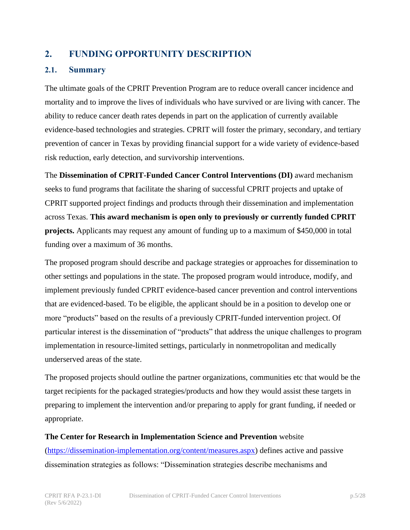# <span id="page-4-0"></span>**2. FUNDING OPPORTUNITY DESCRIPTION**

#### <span id="page-4-1"></span>**2.1. Summary**

The ultimate goals of the CPRIT Prevention Program are to reduce overall cancer incidence and mortality and to improve the lives of individuals who have survived or are living with cancer. The ability to reduce cancer death rates depends in part on the application of currently available evidence-based technologies and strategies. CPRIT will foster the primary, secondary, and tertiary prevention of cancer in Texas by providing financial support for a wide variety of evidence-based risk reduction, early detection, and survivorship interventions.

The **Dissemination of CPRIT-Funded Cancer Control Interventions (DI)** award mechanism seeks to fund programs that facilitate the sharing of successful CPRIT projects and uptake of CPRIT supported project findings and products through their dissemination and implementation across Texas. **This award mechanism is open only to previously or currently funded CPRIT projects.** Applicants may request any amount of funding up to a maximum of \$450,000 in total funding over a maximum of 36 months.

The proposed program should describe and package strategies or approaches for dissemination to other settings and populations in the state. The proposed program would introduce, modify, and implement previously funded CPRIT evidence-based cancer prevention and control interventions that are evidenced-based. To be eligible, the applicant should be in a position to develop one or more "products" based on the results of a previously CPRIT-funded intervention project. Of particular interest is the dissemination of "products" that address the unique challenges to program implementation in resource-limited settings, particularly in nonmetropolitan and medically underserved areas of the state.

The proposed projects should outline the partner organizations, communities etc that would be the target recipients for the packaged strategies/products and how they would assist these targets in preparing to implement the intervention and/or preparing to apply for grant funding, if needed or appropriate.

**The Center for Research in Implementation Science and Prevention** website [\(https://dissemination-implementation.org/content/measures.aspx\)](https://dissemination-implementation.org/content/measures.aspx) defines active and passive dissemination strategies as follows: "Dissemination strategies describe mechanisms and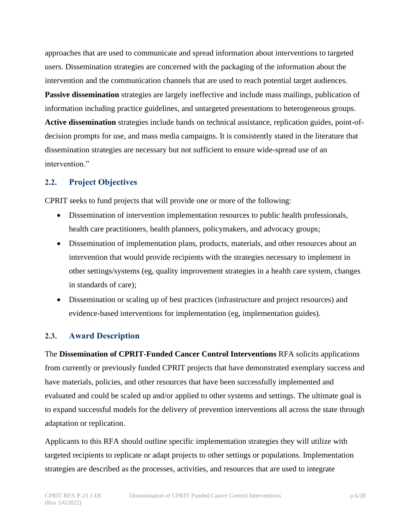approaches that are used to communicate and spread information about interventions to targeted users. Dissemination strategies are concerned with the packaging of the information about the intervention and the communication channels that are used to reach potential target audiences.

**Passive dissemination** strategies are largely ineffective and include mass mailings, publication of information including practice guidelines, and untargeted presentations to heterogeneous groups. **Active dissemination** strategies include hands on technical assistance, replication guides, point-ofdecision prompts for use, and mass media campaigns. It is consistently stated in the literature that dissemination strategies are necessary but not sufficient to ensure wide-spread use of an intervention."

#### <span id="page-5-0"></span>**2.2. Project Objectives**

CPRIT seeks to fund projects that will provide one or more of the following:

- Dissemination of intervention implementation resources to public health professionals, health care practitioners, health planners, policymakers, and advocacy groups;
- Dissemination of implementation plans, products, materials, and other resources about an intervention that would provide recipients with the strategies necessary to implement in other settings/systems (eg, quality improvement strategies in a health care system, changes in standards of care);
- Dissemination or scaling up of best practices (infrastructure and project resources) and evidence-based interventions for implementation (eg, implementation guides).

# <span id="page-5-1"></span>**2.3. Award Description**

The **Dissemination of CPRIT-Funded Cancer Control Interventions** RFA solicits applications from currently or previously funded CPRIT projects that have demonstrated exemplary success and have materials, policies, and other resources that have been successfully implemented and evaluated and could be scaled up and/or applied to other systems and settings. The ultimate goal is to expand successful models for the delivery of prevention interventions all across the state through adaptation or replication.

Applicants to this RFA should outline specific implementation strategies they will utilize with targeted recipients to replicate or adapt projects to other settings or populations. Implementation strategies are described as the processes, activities, and resources that are used to integrate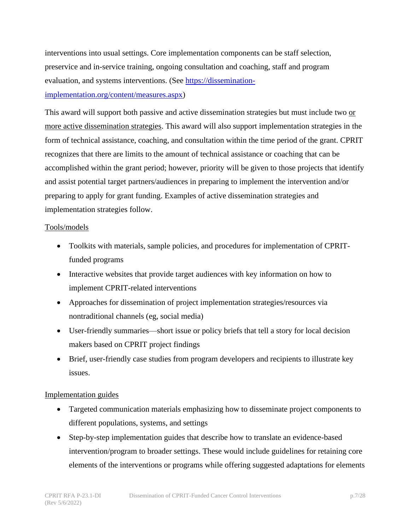interventions into usual settings. Core implementation components can be staff selection, preservice and in-service training, ongoing consultation and coaching, staff and program evaluation, and systems interventions. (See [https://dissemination-](https://dissemination-implementation.org/content/measures.aspx)

#### [implementation.org/content/measures.aspx\)](https://dissemination-implementation.org/content/measures.aspx)

This award will support both passive and active dissemination strategies but must include two or more active dissemination strategies. This award will also support implementation strategies in the form of technical assistance, coaching, and consultation within the time period of the grant. CPRIT recognizes that there are limits to the amount of technical assistance or coaching that can be accomplished within the grant period; however, priority will be given to those projects that identify and assist potential target partners/audiences in preparing to implement the intervention and/or preparing to apply for grant funding. Examples of active dissemination strategies and implementation strategies follow.

#### Tools/models

- Toolkits with materials, sample policies, and procedures for implementation of CPRITfunded programs
- Interactive websites that provide target audiences with key information on how to implement CPRIT-related interventions
- Approaches for dissemination of project implementation strategies/resources via nontraditional channels (eg, social media)
- User-friendly summaries—short issue or policy briefs that tell a story for local decision makers based on CPRIT project findings
- Brief, user-friendly case studies from program developers and recipients to illustrate key issues.

#### Implementation guides

- Targeted communication materials emphasizing how to disseminate project components to different populations, systems, and settings
- Step-by-step implementation guides that describe how to translate an evidence-based intervention/program to broader settings. These would include guidelines for retaining core elements of the interventions or programs while offering suggested adaptations for elements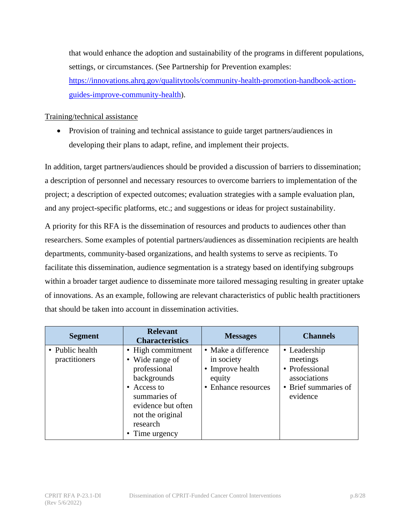that would enhance the adoption and sustainability of the programs in different populations, settings, or circumstances. (See Partnership for Prevention examples: [https://innovations.ahrq.gov/qualitytools/community-health-promotion-handbook-action](https://innovations.ahrq.gov/qualitytools/community-health-promotion-handbook-action-guides-improve-community-health)[guides-improve-community-health\)](https://innovations.ahrq.gov/qualitytools/community-health-promotion-handbook-action-guides-improve-community-health).

Training/technical assistance

• Provision of training and technical assistance to guide target partners/audiences in developing their plans to adapt, refine, and implement their projects.

In addition, target partners/audiences should be provided a discussion of barriers to dissemination; a description of personnel and necessary resources to overcome barriers to implementation of the project; a description of expected outcomes; evaluation strategies with a sample evaluation plan, and any project-specific platforms, etc.; and suggestions or ideas for project sustainability.

A priority for this RFA is the dissemination of resources and products to audiences other than researchers. Some examples of potential partners/audiences as dissemination recipients are health departments, community-based organizations, and health systems to serve as recipients. To facilitate this dissemination, audience segmentation is a strategy based on identifying subgroups within a broader target audience to disseminate more tailored messaging resulting in greater uptake of innovations. As an example, following are relevant characteristics of public health practitioners that should be taken into account in dissemination activities.

| <b>Segment</b>                   | <b>Relevant</b><br><b>Characteristics</b>                                                                                                                                  | <b>Messages</b>                                                                        | <b>Channels</b>                                                                                |
|----------------------------------|----------------------------------------------------------------------------------------------------------------------------------------------------------------------------|----------------------------------------------------------------------------------------|------------------------------------------------------------------------------------------------|
| • Public health<br>practitioners | • High commitment<br>• Wide range of<br>professional<br>backgrounds<br>• Access to<br>summaries of<br>evidence but often<br>not the original<br>research<br>• Time urgency | • Make a difference<br>in society<br>• Improve health<br>equity<br>• Enhance resources | • Leadership<br>meetings<br>• Professional<br>associations<br>• Brief summaries of<br>evidence |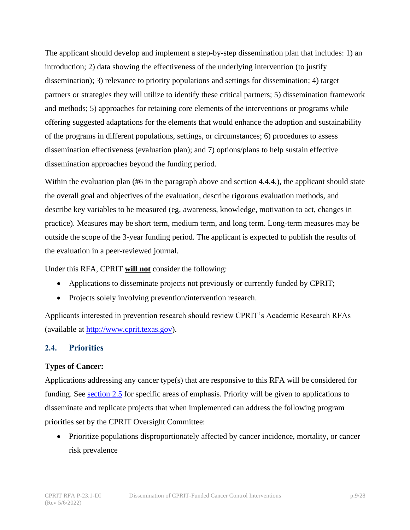The applicant should develop and implement a step-by-step dissemination plan that includes: 1) an introduction; 2) data showing the effectiveness of the underlying intervention (to justify dissemination); 3) relevance to priority populations and settings for dissemination; 4) target partners or strategies they will utilize to identify these critical partners; 5) dissemination framework and methods; 5) approaches for retaining core elements of the interventions or programs while offering suggested adaptations for the elements that would enhance the adoption and sustainability of the programs in different populations, settings, or circumstances; 6) procedures to assess dissemination effectiveness (evaluation plan); and 7) options/plans to help sustain effective dissemination approaches beyond the funding period.

Within the evaluation plan (#6 in the paragraph above and section 4.4.4.), the applicant should state the overall goal and objectives of the evaluation, describe rigorous evaluation methods, and describe key variables to be measured (eg, awareness, knowledge, motivation to act, changes in practice). Measures may be short term, medium term, and long term. Long-term measures may be outside the scope of the 3-year funding period. The applicant is expected to publish the results of the evaluation in a peer-reviewed journal.

Under this RFA, CPRIT **will not** consider the following:

- Applications to disseminate projects not previously or currently funded by CPRIT;
- Projects solely involving prevention/intervention research.

Applicants interested in prevention research should review CPRIT's Academic Research RFAs (available at [http://www.cprit.texas.gov\)](http://www.cprit.texas.gov/).

#### <span id="page-8-0"></span>**2.4. Priorities**

#### **Types of Cancer:**

Applications addressing any cancer type(s) that are responsive to this RFA will be considered for funding. See [section 2.5](#page-9-0) for specific areas of emphasis. Priority will be given to applications to disseminate and replicate projects that when implemented can address the following program priorities set by the CPRIT Oversight Committee:

• Prioritize populations disproportionately affected by cancer incidence, mortality, or cancer risk prevalence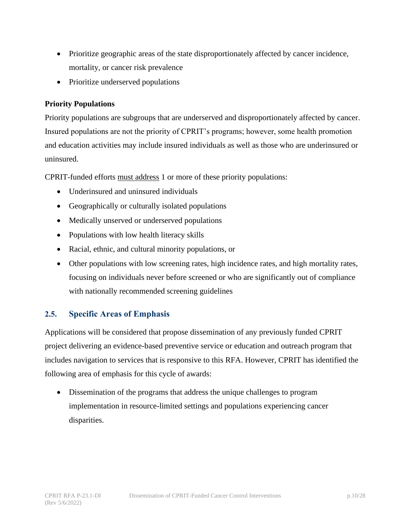- Prioritize geographic areas of the state disproportionately affected by cancer incidence, mortality, or cancer risk prevalence
- Prioritize underserved populations

#### **Priority Populations**

Priority populations are subgroups that are underserved and disproportionately affected by cancer. Insured populations are not the priority of CPRIT's programs; however, some health promotion and education activities may include insured individuals as well as those who are underinsured or uninsured.

CPRIT-funded efforts must address 1 or more of these priority populations:

- Underinsured and uninsured individuals
- Geographically or culturally isolated populations
- Medically unserved or underserved populations
- Populations with low health literacy skills
- Racial, ethnic, and cultural minority populations, or
- Other populations with low screening rates, high incidence rates, and high mortality rates, focusing on individuals never before screened or who are significantly out of compliance with nationally recommended screening guidelines

# <span id="page-9-0"></span>**2.5. Specific Areas of Emphasis**

Applications will be considered that propose dissemination of any previously funded CPRIT project delivering an evidence-based preventive service or education and outreach program that includes navigation to services that is responsive to this RFA. However, CPRIT has identified the following area of emphasis for this cycle of awards:

• Dissemination of the programs that address the unique challenges to program implementation in resource-limited settings and populations experiencing cancer disparities.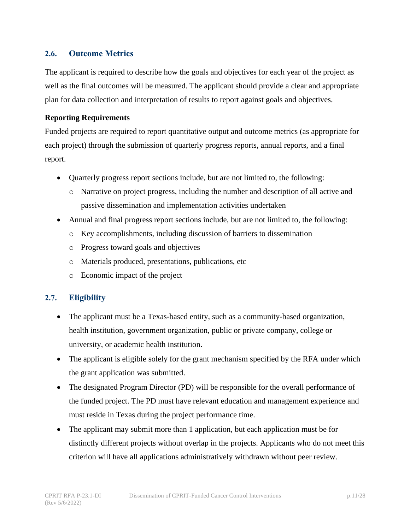#### <span id="page-10-0"></span>**2.6. Outcome Metrics**

The applicant is required to describe how the goals and objectives for each year of the project as well as the final outcomes will be measured. The applicant should provide a clear and appropriate plan for data collection and interpretation of results to report against goals and objectives.

#### **Reporting Requirements**

Funded projects are required to report quantitative output and outcome metrics (as appropriate for each project) through the submission of quarterly progress reports, annual reports, and a final report.

- Quarterly progress report sections include, but are not limited to, the following:
	- o Narrative on project progress, including the number and description of all active and passive dissemination and implementation activities undertaken
- Annual and final progress report sections include, but are not limited to, the following:
	- o Key accomplishments, including discussion of barriers to dissemination
	- o Progress toward goals and objectives
	- o Materials produced, presentations, publications, etc
	- o Economic impact of the project

#### <span id="page-10-1"></span>**2.7. Eligibility**

- The applicant must be a Texas-based entity, such as a community-based organization, health institution, government organization, public or private company, college or university, or academic health institution.
- The applicant is eligible solely for the grant mechanism specified by the RFA under which the grant application was submitted.
- The designated Program Director (PD) will be responsible for the overall performance of the funded project. The PD must have relevant education and management experience and must reside in Texas during the project performance time.
- The applicant may submit more than 1 application, but each application must be for distinctly different projects without overlap in the projects. Applicants who do not meet this criterion will have all applications administratively withdrawn without peer review.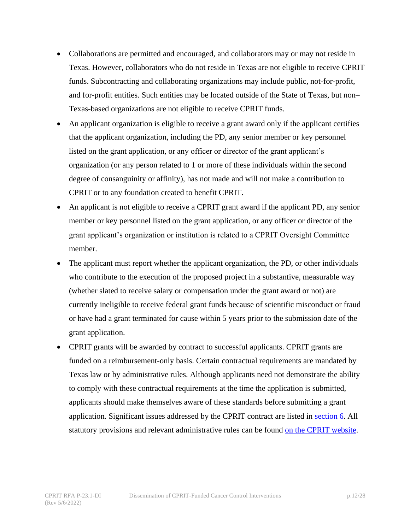- Collaborations are permitted and encouraged, and collaborators may or may not reside in Texas. However, collaborators who do not reside in Texas are not eligible to receive CPRIT funds. Subcontracting and collaborating organizations may include public, not-for-profit, and for-profit entities. Such entities may be located outside of the State of Texas, but non– Texas-based organizations are not eligible to receive CPRIT funds.
- An applicant organization is eligible to receive a grant award only if the applicant certifies that the applicant organization, including the PD, any senior member or key personnel listed on the grant application, or any officer or director of the grant applicant's organization (or any person related to 1 or more of these individuals within the second degree of consanguinity or affinity), has not made and will not make a contribution to CPRIT or to any foundation created to benefit CPRIT.
- An applicant is not eligible to receive a CPRIT grant award if the applicant PD, any senior member or key personnel listed on the grant application, or any officer or director of the grant applicant's organization or institution is related to a CPRIT Oversight Committee member.
- The applicant must report whether the applicant organization, the PD, or other individuals who contribute to the execution of the proposed project in a substantive, measurable way (whether slated to receive salary or compensation under the grant award or not) are currently ineligible to receive federal grant funds because of scientific misconduct or fraud or have had a grant terminated for cause within 5 years prior to the submission date of the grant application.
- CPRIT grants will be awarded by contract to successful applicants. CPRIT grants are funded on a reimbursement-only basis. Certain contractual requirements are mandated by Texas law or by administrative rules. Although applicants need not demonstrate the ability to comply with these contractual requirements at the time the application is submitted, applicants should make themselves aware of these standards before submitting a grant application. Significant issues addressed by the CPRIT contract are listed in [section 6.](#page-21-1) All statutory provisions and relevant administrative rules can be found [on the CPRIT website.](https://www.cprit.texas.gov/about-us/statute-rules-and-grant-policies-guide/)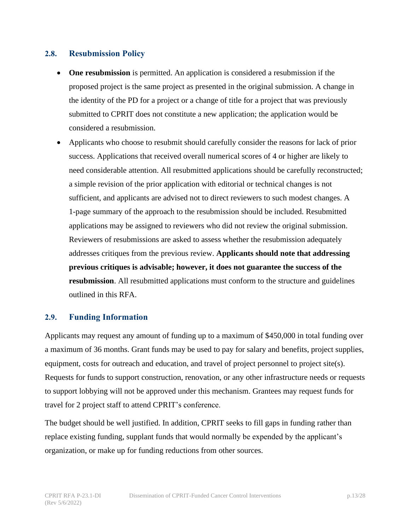#### <span id="page-12-0"></span>**2.8. Resubmission Policy**

- **One resubmission** is permitted. An application is considered a resubmission if the proposed project is the same project as presented in the original submission. A change in the identity of the PD for a project or a change of title for a project that was previously submitted to CPRIT does not constitute a new application; the application would be considered a resubmission.
- Applicants who choose to resubmit should carefully consider the reasons for lack of prior success. Applications that received overall numerical scores of 4 or higher are likely to need considerable attention. All resubmitted applications should be carefully reconstructed; a simple revision of the prior application with editorial or technical changes is not sufficient, and applicants are advised not to direct reviewers to such modest changes. A 1-page summary of the approach to the resubmission should be included. Resubmitted applications may be assigned to reviewers who did not review the original submission. Reviewers of resubmissions are asked to assess whether the resubmission adequately addresses critiques from the previous review. **Applicants should note that addressing previous critiques is advisable; however, it does not guarantee the success of the resubmission**. All resubmitted applications must conform to the structure and guidelines outlined in this RFA.

#### <span id="page-12-1"></span>**2.9. Funding Information**

Applicants may request any amount of funding up to a maximum of \$450,000 in total funding over a maximum of 36 months. Grant funds may be used to pay for salary and benefits, project supplies, equipment, costs for outreach and education, and travel of project personnel to project site(s). Requests for funds to support construction, renovation, or any other infrastructure needs or requests to support lobbying will not be approved under this mechanism. Grantees may request funds for travel for 2 project staff to attend CPRIT's conference.

The budget should be well justified. In addition, CPRIT seeks to fill gaps in funding rather than replace existing funding, supplant funds that would normally be expended by the applicant's organization, or make up for funding reductions from other sources.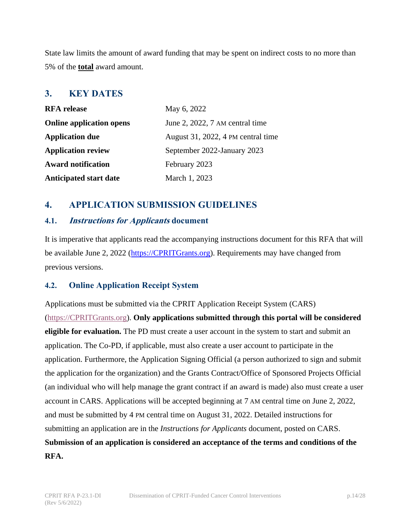State law limits the amount of award funding that may be spent on indirect costs to no more than 5% of the **total** award amount.

# <span id="page-13-0"></span>**3. KEY DATES**

| <b>RFA</b> release              | May 6, 2022                        |  |
|---------------------------------|------------------------------------|--|
| <b>Online application opens</b> | June 2, 2022, 7 AM central time    |  |
| <b>Application due</b>          | August 31, 2022, 4 PM central time |  |
| <b>Application review</b>       | September 2022-January 2023        |  |
| <b>Award notification</b>       | February 2023                      |  |
| <b>Anticipated start date</b>   | March 1, 2023                      |  |

# <span id="page-13-1"></span>**4. APPLICATION SUBMISSION GUIDELINES**

#### <span id="page-13-2"></span>**4.1. Instructions for Applicants document**

It is imperative that applicants read the accompanying instructions document for this RFA that will be available June 2, 2022 [\(https://CPRITGrants.org\)](https://cpritgrants.org/). Requirements may have changed from previous versions.

# <span id="page-13-3"></span>**4.2. Online Application Receipt System**

Applications must be submitted via the CPRIT Application Receipt System (CARS) [\(https://CPRITGrants.org\)](https://cpritgrants.org/). **Only applications submitted through this portal will be considered eligible for evaluation.** The PD must create a user account in the system to start and submit an application. The Co-PD, if applicable, must also create a user account to participate in the application. Furthermore, the Application Signing Official (a person authorized to sign and submit the application for the organization) and the Grants Contract/Office of Sponsored Projects Official (an individual who will help manage the grant contract if an award is made) also must create a user account in CARS. Applications will be accepted beginning at 7 AM central time on June 2, 2022, and must be submitted by 4 PM central time on August 31, 2022. Detailed instructions for submitting an application are in the *Instructions for Applicants* document, posted on CARS. **Submission of an application is considered an acceptance of the terms and conditions of the RFA.**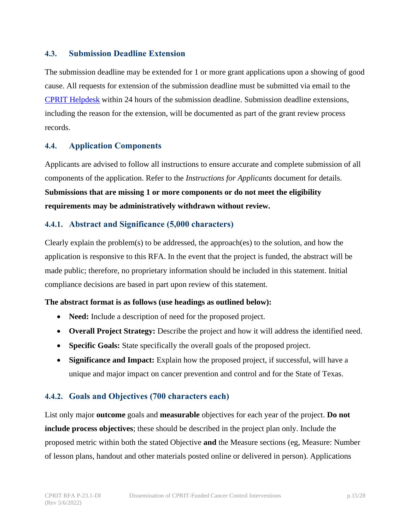#### <span id="page-14-0"></span>**4.3. Submission Deadline Extension**

The submission deadline may be extended for 1 or more grant applications upon a showing of good cause. All requests for extension of the submission deadline must be submitted via email to the [CPRIT Helpdesk](#page-22-1) within 24 hours of the submission deadline. Submission deadline extensions, including the reason for the extension, will be documented as part of the grant review process records.

#### <span id="page-14-1"></span>**4.4. Application Components**

Applicants are advised to follow all instructions to ensure accurate and complete submission of all components of the application. Refer to the *Instructions for Applicants* document for details. **Submissions that are missing 1 or more components or do not meet the eligibility requirements may be administratively withdrawn without review.**

#### <span id="page-14-2"></span>**4.4.1. Abstract and Significance (5,000 characters)**

Clearly explain the problem(s) to be addressed, the approach(es) to the solution, and how the application is responsive to this RFA. In the event that the project is funded, the abstract will be made public; therefore, no proprietary information should be included in this statement. Initial compliance decisions are based in part upon review of this statement.

#### **The abstract format is as follows (use headings as outlined below):**

- **Need:** Include a description of need for the proposed project.
- **Overall Project Strategy:** Describe the project and how it will address the identified need.
- **Specific Goals:** State specifically the overall goals of the proposed project.
- **Significance and Impact:** Explain how the proposed project, if successful, will have a unique and major impact on cancer prevention and control and for the State of Texas.

#### <span id="page-14-3"></span>**4.4.2. Goals and Objectives (700 characters each)**

List only major **outcome** goals and **measurable** objectives for each year of the project. **Do not include process objectives**; these should be described in the project plan only. Include the proposed metric within both the stated Objective **and** the Measure sections (eg, Measure: Number of lesson plans, handout and other materials posted online or delivered in person). Applications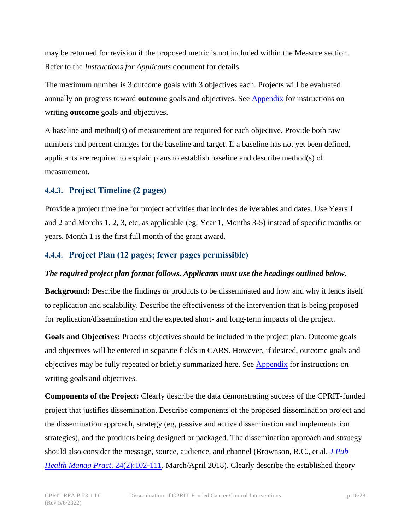may be returned for revision if the proposed metric is not included within the Measure section. Refer to the *Instructions for Applicants* document for details.

The maximum number is 3 outcome goals with 3 objectives each. Projects will be evaluated annually on progress toward **outcome** goals and objectives. See [Appendix](#page-25-0) for instructions on writing **outcome** goals and objectives.

A baseline and method(s) of measurement are required for each objective. Provide both raw numbers and percent changes for the baseline and target. If a baseline has not yet been defined, applicants are required to explain plans to establish baseline and describe method(s) of measurement.

#### <span id="page-15-0"></span>**4.4.3. Project Timeline (2 pages)**

Provide a project timeline for project activities that includes deliverables and dates. Use Years 1 and 2 and Months 1, 2, 3, etc, as applicable (eg, Year 1, Months 3-5) instead of specific months or years. Month 1 is the first full month of the grant award.

#### <span id="page-15-1"></span>**4.4.4. Project Plan (12 pages; fewer pages permissible)**

#### *The required project plan format follows. Applicants must use the headings outlined below.*

**Background:** Describe the findings or products to be disseminated and how and why it lends itself to replication and scalability. Describe the effectiveness of the intervention that is being proposed for replication/dissemination and the expected short- and long-term impacts of the project.

**Goals and Objectives:** Process objectives should be included in the project plan. Outcome goals and objectives will be entered in separate fields in CARS. However, if desired, outcome goals and objectives may be fully repeated or briefly summarized here. See [Appendix](#page-25-0) for instructions on writing goals and objectives.

**Components of the Project:** Clearly describe the data demonstrating success of the CPRIT-funded project that justifies dissemination. Describe components of the proposed dissemination project and the dissemination approach, strategy (eg, passive and active dissemination and implementation strategies), and the products being designed or packaged. The dissemination approach and strategy should also consider the message, source, audience, and channel (Brownson, R.C., et al. *[J Pub](https://journals.lww.com/jphmp/Fulltext/2018/03000/Getting_the_Word_Out___New_Approaches_for.4.aspx)  [Health Manag Pract](https://journals.lww.com/jphmp/Fulltext/2018/03000/Getting_the_Word_Out___New_Approaches_for.4.aspx)*. 24(2):102-111, March/April 2018). Clearly describe the established theory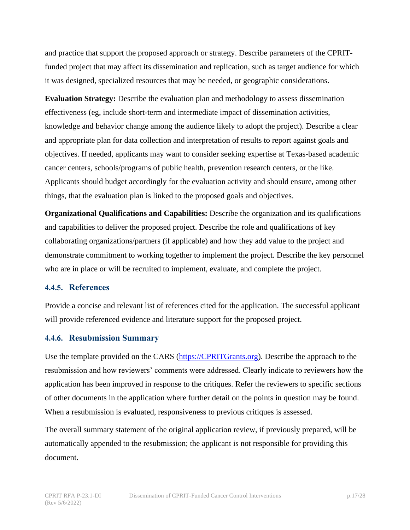and practice that support the proposed approach or strategy. Describe parameters of the CPRITfunded project that may affect its dissemination and replication, such as target audience for which it was designed, specialized resources that may be needed, or geographic considerations.

**Evaluation Strategy:** Describe the evaluation plan and methodology to assess dissemination effectiveness (eg, include short-term and intermediate impact of dissemination activities, knowledge and behavior change among the audience likely to adopt the project). Describe a clear and appropriate plan for data collection and interpretation of results to report against goals and objectives. If needed, applicants may want to consider seeking expertise at Texas-based academic cancer centers, schools/programs of public health, prevention research centers, or the like. Applicants should budget accordingly for the evaluation activity and should ensure, among other things, that the evaluation plan is linked to the proposed goals and objectives.

**Organizational Qualifications and Capabilities:** Describe the organization and its qualifications and capabilities to deliver the proposed project. Describe the role and qualifications of key collaborating organizations/partners (if applicable) and how they add value to the project and demonstrate commitment to working together to implement the project. Describe the key personnel who are in place or will be recruited to implement, evaluate, and complete the project.

#### <span id="page-16-0"></span>**4.4.5. References**

Provide a concise and relevant list of references cited for the application. The successful applicant will provide referenced evidence and literature support for the proposed project.

#### <span id="page-16-1"></span>**4.4.6. Resubmission Summary**

Use the template provided on the CARS [\(https://CPRITGrants.org\)](https://cpritgrants.org/). Describe the approach to the resubmission and how reviewers' comments were addressed. Clearly indicate to reviewers how the application has been improved in response to the critiques. Refer the reviewers to specific sections of other documents in the application where further detail on the points in question may be found. When a resubmission is evaluated, responsiveness to previous critiques is assessed.

The overall summary statement of the original application review, if previously prepared, will be automatically appended to the resubmission; the applicant is not responsible for providing this document.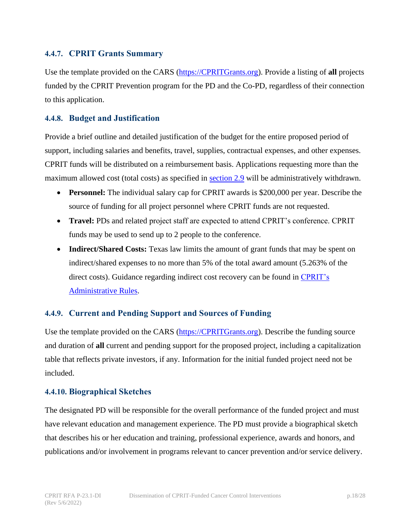#### <span id="page-17-0"></span>**4.4.7. CPRIT Grants Summary**

Use the template provided on the CARS [\(https://CPRITGrants.org\)](https://cpritgrants.org/). Provide a listing of **all** projects funded by the CPRIT Prevention program for the PD and the Co-PD, regardless of their connection to this application.

#### <span id="page-17-1"></span>**4.4.8. Budget and Justification**

Provide a brief outline and detailed justification of the budget for the entire proposed period of support, including salaries and benefits, travel, supplies, contractual expenses, and other expenses. CPRIT funds will be distributed on a reimbursement basis. Applications requesting more than the maximum allowed cost (total costs) as specified in [section 2.9](#page-12-1) will be administratively withdrawn.

- **Personnel:** The individual salary cap for CPRIT awards is \$200,000 per year. Describe the source of funding for all project personnel where CPRIT funds are not requested.
- **Travel:** PDs and related project staff are expected to attend CPRIT's conference. CPRIT funds may be used to send up to 2 people to the conference.
- **Indirect/Shared Costs:** Texas law limits the amount of grant funds that may be spent on indirect/shared expenses to no more than 5% of the total award amount (5.263% of the direct costs). Guidance regarding indirect cost recovery can be found in [CPRIT's](https://www.cprit.texas.gov/about-us/statute-rules-and-grant-policies-guide/)  [Administrative Rules.](https://www.cprit.texas.gov/about-us/statute-rules-and-grant-policies-guide/)

#### <span id="page-17-2"></span>**4.4.9. Current and Pending Support and Sources of Funding**

Use the template provided on the CARS [\(https://CPRITGrants.org\)](https://cpritgrants.org/). Describe the funding source and duration of **all** current and pending support for the proposed project, including a capitalization table that reflects private investors, if any. Information for the initial funded project need not be included.

#### <span id="page-17-3"></span>**4.4.10. Biographical Sketches**

The designated PD will be responsible for the overall performance of the funded project and must have relevant education and management experience. The PD must provide a biographical sketch that describes his or her education and training, professional experience, awards and honors, and publications and/or involvement in programs relevant to cancer prevention and/or service delivery.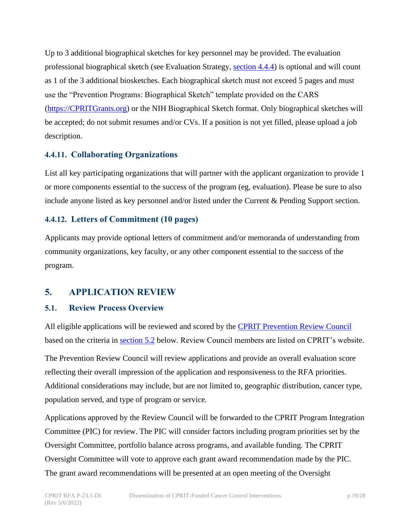Up to 3 additional biographical sketches for key personnel may be provided. The evaluation professional biographical sketch (see Evaluation Strategy, [section 4.4.4\)](#page-15-1) is optional and will count as 1 of the 3 additional biosketches. Each biographical sketch must not exceed 5 pages and must use the "Prevention Programs: Biographical Sketch" template provided on the CARS [\(https://CPRITGrants.org\)](https://cpritgrants.org/) or the NIH Biographical Sketch format. Only biographical sketches will be accepted; do not submit resumes and/or CVs. If a position is not yet filled, please upload a job description.

#### <span id="page-18-0"></span>**4.4.11. Collaborating Organizations**

List all key participating organizations that will partner with the applicant organization to provide 1 or more components essential to the success of the program (eg, evaluation). Please be sure to also include anyone listed as key personnel and/or listed under the Current & Pending Support section.

#### <span id="page-18-1"></span>**4.4.12. Letters of Commitment (10 pages)**

Applicants may provide optional letters of commitment and/or memoranda of understanding from community organizations, key faculty, or any other component essential to the success of the program.

# <span id="page-18-2"></span>**5. APPLICATION REVIEW**

#### <span id="page-18-3"></span>**5.1. Review Process Overview**

All eligible applications will be reviewed and scored by the [CPRIT Prevention Review Council](https://www.cprit.state.tx.us/grants-process/peer-review-committees/prevention-review-council/) based on the criteria in [section 5.2](#page-19-0) below. Review Council members are listed on CPRIT's website.

The Prevention Review Council will review applications and provide an overall evaluation score reflecting their overall impression of the application and responsiveness to the RFA priorities. Additional considerations may include, but are not limited to, geographic distribution, cancer type, population served, and type of program or service.

Applications approved by the Review Council will be forwarded to the CPRIT Program Integration Committee (PIC) for review. The PIC will consider factors including program priorities set by the Oversight Committee, portfolio balance across programs, and available funding. The CPRIT Oversight Committee will vote to approve each grant award recommendation made by the PIC. The grant award recommendations will be presented at an open meeting of the Oversight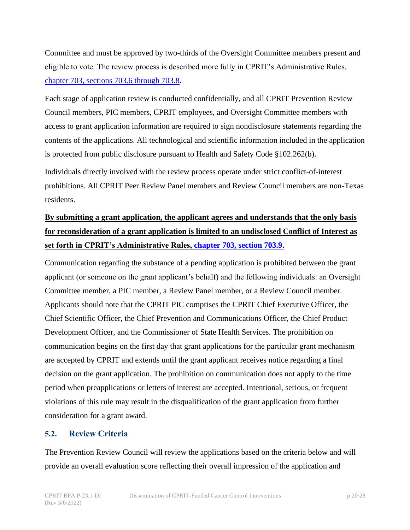Committee and must be approved by two-thirds of the Oversight Committee members present and eligible to vote. The review process is described more fully in CPRIT's Administrative Rules, [chapter 703, sections 703.6 through 703.8.](https://texreg.sos.state.tx.us/public/readtac$ext.ViewTAC?tac_view=4&ti=25&pt=11&ch=703&rl=Y)

Each stage of application review is conducted confidentially, and all CPRIT Prevention Review Council members, PIC members, CPRIT employees, and Oversight Committee members with access to grant application information are required to sign nondisclosure statements regarding the contents of the applications. All technological and scientific information included in the application is protected from public disclosure pursuant to Health and Safety Code §102.262(b).

Individuals directly involved with the review process operate under strict conflict-of-interest prohibitions. All CPRIT Peer Review Panel members and Review Council members are non-Texas residents.

# **By submitting a grant application, the applicant agrees and understands that the only basis for reconsideration of a grant application is limited to an undisclosed Conflict of Interest as set forth in CPRIT's Administrative Rules, [chapter 703, section 703.9.](https://texreg.sos.state.tx.us/public/readtac$ext.TacPage?sl=R&app=9&p_dir=&p_rloc=&p_tloc=&p_ploc=&pg=1&p_tac=&ti=25&pt=11&ch=703&rl=9)**

Communication regarding the substance of a pending application is prohibited between the grant applicant (or someone on the grant applicant's behalf) and the following individuals: an Oversight Committee member, a PIC member, a Review Panel member, or a Review Council member. Applicants should note that the CPRIT PIC comprises the CPRIT Chief Executive Officer, the Chief Scientific Officer, the Chief Prevention and Communications Officer, the Chief Product Development Officer, and the Commissioner of State Health Services. The prohibition on communication begins on the first day that grant applications for the particular grant mechanism are accepted by CPRIT and extends until the grant applicant receives notice regarding a final decision on the grant application. The prohibition on communication does not apply to the time period when preapplications or letters of interest are accepted. Intentional, serious, or frequent violations of this rule may result in the disqualification of the grant application from further consideration for a grant award.

#### <span id="page-19-0"></span>**5.2. Review Criteria**

The Prevention Review Council will review the applications based on the criteria below and will provide an overall evaluation score reflecting their overall impression of the application and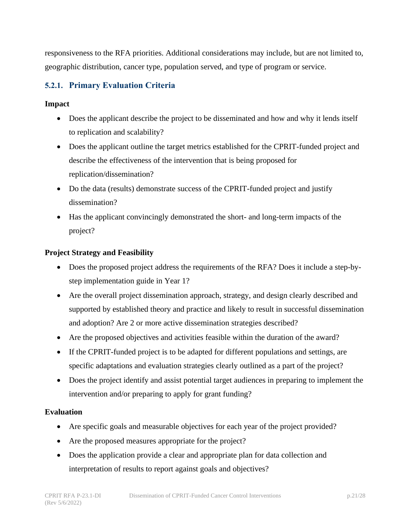responsiveness to the RFA priorities. Additional considerations may include, but are not limited to, geographic distribution, cancer type, population served, and type of program or service.

# <span id="page-20-0"></span>**5.2.1. Primary Evaluation Criteria**

#### **Impact**

- Does the applicant describe the project to be disseminated and how and why it lends itself to replication and scalability?
- Does the applicant outline the target metrics established for the CPRIT-funded project and describe the effectiveness of the intervention that is being proposed for replication/dissemination?
- Do the data (results) demonstrate success of the CPRIT-funded project and justify dissemination?
- Has the applicant convincingly demonstrated the short- and long-term impacts of the project?

#### **Project Strategy and Feasibility**

- Does the proposed project address the requirements of the RFA? Does it include a step-bystep implementation guide in Year 1?
- Are the overall project dissemination approach, strategy, and design clearly described and supported by established theory and practice and likely to result in successful dissemination and adoption? Are 2 or more active dissemination strategies described?
- Are the proposed objectives and activities feasible within the duration of the award?
- If the CPRIT-funded project is to be adapted for different populations and settings, are specific adaptations and evaluation strategies clearly outlined as a part of the project?
- Does the project identify and assist potential target audiences in preparing to implement the intervention and/or preparing to apply for grant funding?

#### **Evaluation**

- Are specific goals and measurable objectives for each year of the project provided?
- Are the proposed measures appropriate for the project?
- Does the application provide a clear and appropriate plan for data collection and interpretation of results to report against goals and objectives?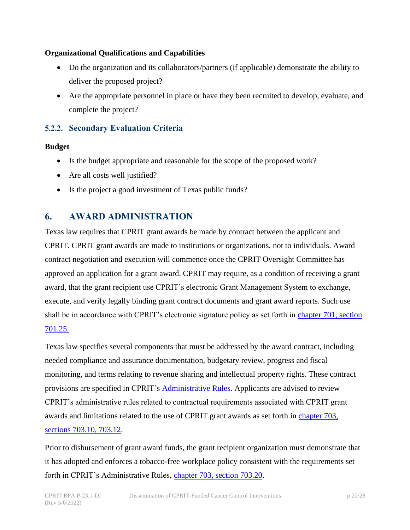#### **Organizational Qualifications and Capabilities**

- Do the organization and its collaborators/partners (if applicable) demonstrate the ability to deliver the proposed project?
- Are the appropriate personnel in place or have they been recruited to develop, evaluate, and complete the project?

# <span id="page-21-0"></span>**5.2.2. Secondary Evaluation Criteria**

#### **Budget**

- Is the budget appropriate and reasonable for the scope of the proposed work?
- Are all costs well justified?
- Is the project a good investment of Texas public funds?

# <span id="page-21-1"></span>**6. AWARD ADMINISTRATION**

Texas law requires that CPRIT grant awards be made by contract between the applicant and CPRIT. CPRIT grant awards are made to institutions or organizations, not to individuals. Award contract negotiation and execution will commence once the CPRIT Oversight Committee has approved an application for a grant award. CPRIT may require, as a condition of receiving a grant award, that the grant recipient use CPRIT's electronic Grant Management System to exchange, execute, and verify legally binding grant contract documents and grant award reports. Such use shall be in accordance with CPRIT's electronic signature policy as set forth in chapter 701, section [701.25.](https://texreg.sos.state.tx.us/public/readtac$ext.TacPage?sl=R&app=9&p_dir=&p_rloc=&p_tloc=&p_ploc=&pg=1&p_tac=&ti=25&pt=11&ch=701&rl=25)

Texas law specifies several components that must be addressed by the award contract, including needed compliance and assurance documentation, budgetary review, progress and fiscal monitoring, and terms relating to revenue sharing and intellectual property rights. These contract provisions are specified in CPRIT's [Administrative Rules.](https://www.cprit.texas.gov/about-us/statute-rules-and-grant-policies-guide/) Applicants are advised to review CPRIT's administrative rules related to contractual requirements associated with CPRIT grant awards and limitations related to the use of CPRIT grant awards as set forth in [chapter 703,](https://texreg.sos.state.tx.us/public/readtac$ext.ViewTAC?tac_view=4&ti=25&pt=11&ch=703&rl=Y)  [sections 703.10, 703.12.](https://texreg.sos.state.tx.us/public/readtac$ext.ViewTAC?tac_view=4&ti=25&pt=11&ch=703&rl=Y)

Prior to disbursement of grant award funds, the grant recipient organization must demonstrate that it has adopted and enforces a tobacco-free workplace policy consistent with the requirements set forth in CPRIT's Administrative Rules, [chapter 703, section 703.20.](https://texreg.sos.state.tx.us/public/readtac$ext.TacPage?sl=R&app=9&p_dir=&p_rloc=&p_tloc=&p_ploc=&pg=1&p_tac=&ti=25&pt=11&ch=703&rl=20)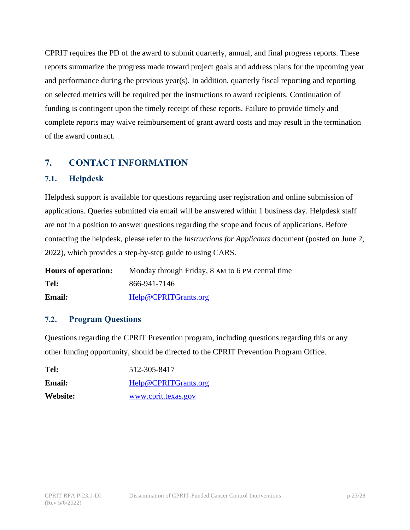CPRIT requires the PD of the award to submit quarterly, annual, and final progress reports. These reports summarize the progress made toward project goals and address plans for the upcoming year and performance during the previous year(s). In addition, quarterly fiscal reporting and reporting on selected metrics will be required per the instructions to award recipients. Continuation of funding is contingent upon the timely receipt of these reports. Failure to provide timely and complete reports may waive reimbursement of grant award costs and may result in the termination of the award contract.

# <span id="page-22-0"></span>**7. CONTACT INFORMATION**

#### <span id="page-22-1"></span>**7.1. Helpdesk**

Helpdesk support is available for questions regarding user registration and online submission of applications. Queries submitted via email will be answered within 1 business day. Helpdesk staff are not in a position to answer questions regarding the scope and focus of applications. Before contacting the helpdesk, please refer to the *Instructions for Applicants* document (posted on June 2, 2022), which provides a step-by-step guide to using CARS.

| <b>Hours of operation:</b> | Monday through Friday, 8 AM to 6 PM central time |
|----------------------------|--------------------------------------------------|
| Tel:                       | 866-941-7146                                     |
| <b>Email:</b>              | Help@CPRITGrants.org                             |

#### <span id="page-22-2"></span>**7.2. Program Questions**

Questions regarding the CPRIT Prevention program, including questions regarding this or any other funding opportunity, should be directed to the CPRIT Prevention Program Office.

| Tel:          | 512-305-8417         |
|---------------|----------------------|
| <b>Email:</b> | Help@CPRITGrants.org |
| Website:      | www.cprit.texas.gov  |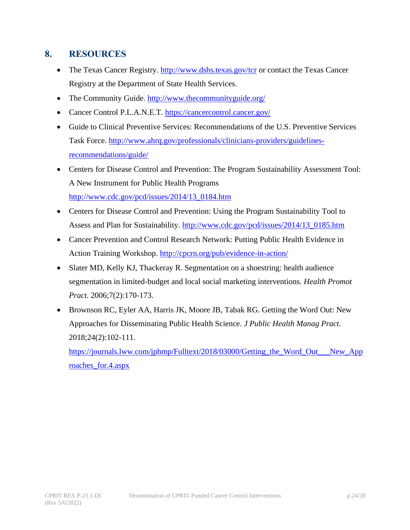# <span id="page-23-0"></span>**8. RESOURCES**

- The Texas Cancer Registry.<http://www.dshs.texas.gov/tcr> or contact the Texas Cancer Registry at the Department of State Health Services.
- The Community Guide. [http://www.thecommunityguide.org/](https://www.thecommunityguide.org/)
- Cancer Control P.L.A.N.E.T. <https://cancercontrol.cancer.gov/>
- Guide to Clinical Preventive Services: Recommendations of the U.S. Preventive Services Task Force. [http://www.ahrq.gov/professionals/clinicians-providers/guidelines](http://www.ahrq.gov/professionals/clinicians-providers/guidelines-recommendations/guide/)[recommendations/guide/](http://www.ahrq.gov/professionals/clinicians-providers/guidelines-recommendations/guide/)
- Centers for Disease Control and Prevention: The Program Sustainability Assessment Tool: A New Instrument for Public Health Programs [http://www.cdc.gov/pcd/issues/2014/13\\_0184.htm](http://www.cdc.gov/pcd/issues/2014/13_0184.htm)
- Centers for Disease Control and Prevention: Using the Program Sustainability Tool to Assess and Plan for Sustainability. [http://www.cdc.gov/pcd/issues/2014/13\\_0185.htm](http://www.cdc.gov/pcd/issues/2014/13_0185.htm)
- Cancer Prevention and Control Research Network: Putting Public Health Evidence in Action Training Workshop. <http://cpcrn.org/pub/evidence-in-action/>
- Slater MD, Kelly KJ, Thackeray R. Segmentation on a shoestring: health audience segmentation in limited-budget and local social marketing interventions. *Health Promot Pract.* 2006;7(2):170-173.
- Brownson RC, Eyler AA, Harris JK, Moore JB, Tabak RG. Getting the Word Out: New Approaches for Disseminating Public Health Science. *J Public Health Manag Pract.*  2018;24(2):102-111.

[https://journals.lww.com/jphmp/Fulltext/2018/03000/Getting\\_the\\_Word\\_Out\\_\\_\\_New\\_App](https://journals.lww.com/jphmp/Fulltext/2018/03000/Getting_the_Word_Out___New_Approaches_for.4.aspx) [roaches\\_for.4.aspx](https://journals.lww.com/jphmp/Fulltext/2018/03000/Getting_the_Word_Out___New_Approaches_for.4.aspx)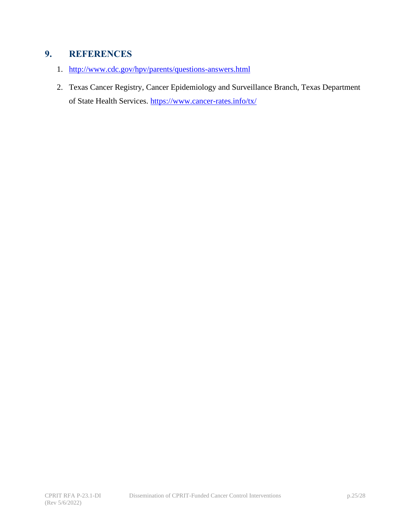# <span id="page-24-0"></span>**9. REFERENCES**

- 1. <http://www.cdc.gov/hpv/parents/questions-answers.html>
- 2. Texas Cancer Registry, Cancer Epidemiology and Surveillance Branch, Texas Department of State Health Services.<https://www.cancer-rates.info/tx/>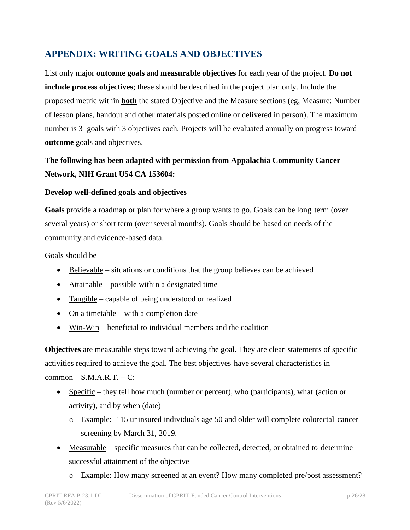# <span id="page-25-0"></span>**APPENDIX: WRITING GOALS AND OBJECTIVES**

List only major **outcome goals** and **measurable objectives** for each year of the project. **Do not include process objectives**; these should be described in the project plan only. Include the proposed metric within **both** the stated Objective and the Measure sections (eg, Measure: Number of lesson plans, handout and other materials posted online or delivered in person). The maximum number is 3 goals with 3 objectives each. Projects will be evaluated annually on progress toward **outcome** goals and objectives.

# **The following has been adapted with permission from Appalachia Community Cancer Network, NIH Grant U54 CA 153604:**

#### **Develop well-defined goals and objectives**

**Goals** provide a roadmap or plan for where a group wants to go. Goals can be long term (over several years) or short term (over several months). Goals should be based on needs of the community and evidence-based data.

Goals should be

- Believable situations or conditions that the group believes can be achieved
- Attainable possible within a designated time
- Tangible capable of being understood or realized
- On a timetable with a completion date
- Win-Win beneficial to individual members and the coalition

**Objectives** are measurable steps toward achieving the goal. They are clear statements of specific activities required to achieve the goal. The best objectives have several characteristics in  $common—S.M.A.R.T. + C$ :

- Specific they tell how much (number or percent), who (participants), what (action or activity), and by when (date)
	- o Example: 115 uninsured individuals age 50 and older will complete colorectal cancer screening by March 31, 2019.
- Measurable specific measures that can be collected, detected, or obtained to determine successful attainment of the objective
	- o Example: How many screened at an event? How many completed pre/post assessment?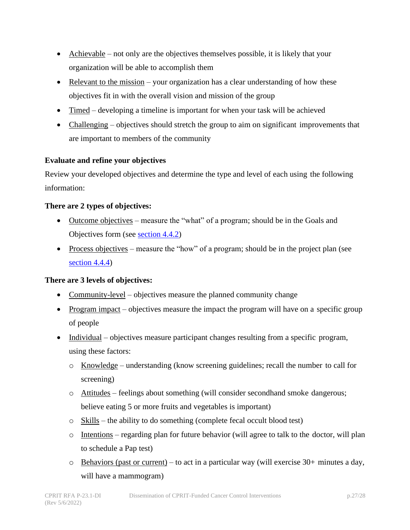- Achievable not only are the objectives themselves possible, it is likely that your organization will be able to accomplish them
- Relevant to the mission your organization has a clear understanding of how these objectives fit in with the overall vision and mission of the group
- Timed developing a timeline is important for when your task will be achieved
- Challenging objectives should stretch the group to aim on significant improvements that are important to members of the community

#### **Evaluate and refine your objectives**

Review your developed objectives and determine the type and level of each using the following information:

#### **There are 2 types of objectives:**

- Outcome objectives measure the "what" of a program; should be in the Goals and Objectives form (see [section 4.4.2\)](#page-14-3)
- Process objectives measure the "how" of a program; should be in the project plan (see [section 4.4.4\)](#page-15-1)

#### **There are 3 levels of objectives:**

- Community-level objectives measure the planned community change
- Program impact objectives measure the impact the program will have on a specific group of people
- Individual objectives measure participant changes resulting from a specific program, using these factors:
	- o Knowledge understanding (know screening guidelines; recall the number to call for screening)
	- o Attitudes feelings about something (will consider secondhand smoke dangerous; believe eating 5 or more fruits and vegetables is important)
	- o Skills the ability to do something (complete fecal occult blood test)
	- o Intentions regarding plan for future behavior (will agree to talk to the doctor, will plan to schedule a Pap test)
	- $\circ$  Behaviors (past or current) to act in a particular way (will exercise 30+ minutes a day, will have a mammogram)